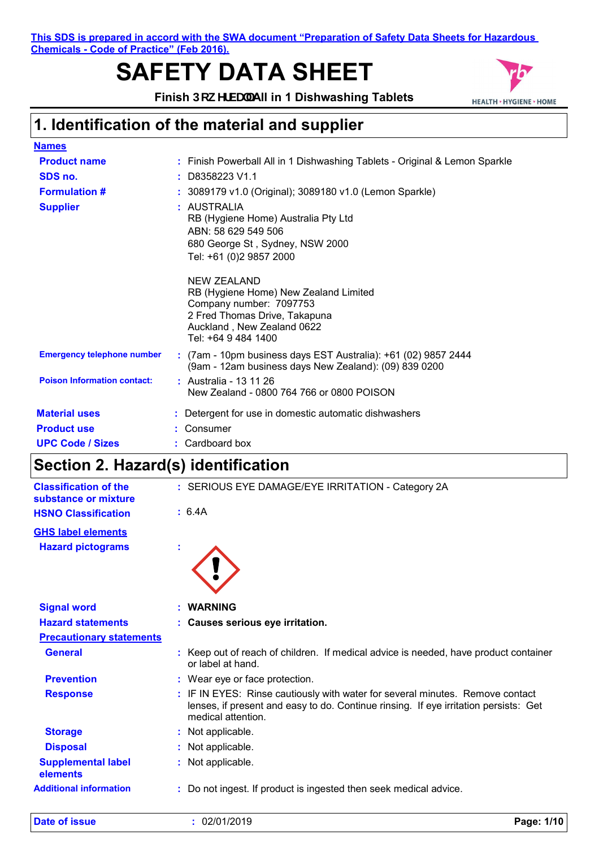**This SDS is prepared in accord with the SWA document "Preparation of Safety Data Sheets for Hazardous Chemicals - Code of Practice" (Feb 2016).**

# **SAFETY DATA SHEET**



Finish Dck YfVU"All in 1 Dishwashing Tablets

## **1. Identification of the material and supplier**

| <b>Names</b>                       |                                                                                                                                                                       |
|------------------------------------|-----------------------------------------------------------------------------------------------------------------------------------------------------------------------|
| <b>Product name</b>                | : Finish Powerball All in 1 Dishwashing Tablets - Original & Lemon Sparkle                                                                                            |
| SDS no.                            | $:$ D8358223 V1.1                                                                                                                                                     |
| <b>Formulation #</b>               | : 3089179 v1.0 (Original); 3089180 v1.0 (Lemon Sparkle)                                                                                                               |
| <b>Supplier</b>                    | : AUSTRALIA<br>RB (Hygiene Home) Australia Pty Ltd<br>ABN: 58 629 549 506<br>680 George St, Sydney, NSW 2000<br>Tel: +61 (0)2 9857 2000                               |
|                                    | NEW ZEALAND<br>RB (Hygiene Home) New Zealand Limited<br>Company number: 7097753<br>2 Fred Thomas Drive, Takapuna<br>Auckland, New Zealand 0622<br>Tel: +64 9 484 1400 |
| <b>Emergency telephone number</b>  | : (7am - 10pm business days EST Australia): +61 (02) 9857 2444<br>(9am - 12am business days New Zealand): (09) 839 0200                                               |
| <b>Poison Information contact:</b> | : Australia - 13 11 26<br>New Zealand - 0800 764 766 or 0800 POISON                                                                                                   |
| <b>Material uses</b>               | : Detergent for use in domestic automatic dishwashers                                                                                                                 |
| <b>Product use</b>                 | Consumer                                                                                                                                                              |
| <b>UPC Code / Sizes</b>            | : Cardboard box                                                                                                                                                       |

## **Section 2. Hazard(s) identification**

| <b>Classification of the</b><br>substance or mixture | : SERIOUS EYE DAMAGE/EYE IRRITATION - Category 2A                                                                                                                                           |
|------------------------------------------------------|---------------------------------------------------------------------------------------------------------------------------------------------------------------------------------------------|
| <b>HSNO Classification</b>                           | : 6.4A                                                                                                                                                                                      |
| <b>GHS label elements</b>                            |                                                                                                                                                                                             |
| <b>Hazard pictograms</b>                             |                                                                                                                                                                                             |
| <b>Signal word</b>                                   | <b>WARNING</b>                                                                                                                                                                              |
| <b>Hazard statements</b>                             | : Causes serious eye irritation.                                                                                                                                                            |
| <b>Precautionary statements</b>                      |                                                                                                                                                                                             |
| <b>General</b>                                       | : Keep out of reach of children. If medical advice is needed, have product container<br>or label at hand.                                                                                   |
| <b>Prevention</b>                                    | : Wear eye or face protection.                                                                                                                                                              |
| <b>Response</b>                                      | : IF IN EYES: Rinse cautiously with water for several minutes. Remove contact<br>lenses, if present and easy to do. Continue rinsing. If eye irritation persists: Get<br>medical attention. |
| <b>Storage</b>                                       | : Not applicable.                                                                                                                                                                           |
| <b>Disposal</b>                                      | : Not applicable.                                                                                                                                                                           |
| <b>Supplemental label</b><br>elements                | : Not applicable.                                                                                                                                                                           |
| <b>Additional information</b>                        | : Do not ingest. If product is ingested then seek medical advice.                                                                                                                           |
|                                                      |                                                                                                                                                                                             |

**Date of issue :** 02/01/2019 **Page: 1/10**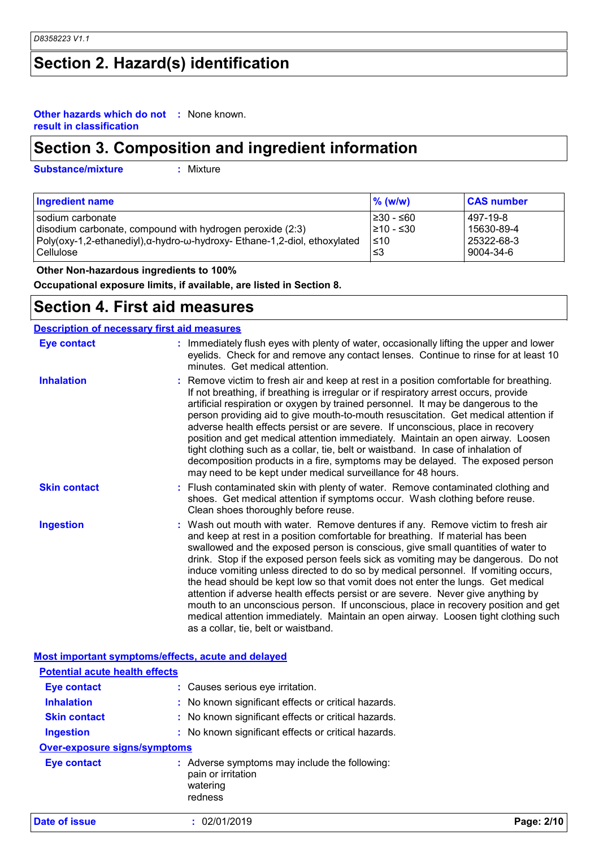## **Section 2. Hazard(s) identification**

#### **Other hazards which do not :** None known. **result in classification**

## **Section 3. Composition and ingredient information**

**Substance/mixture :**

: Mixture

| <b>Ingredient name</b>                                                   | $\%$ (w/w) | <b>CAS number</b> |
|--------------------------------------------------------------------------|------------|-------------------|
| I sodium carbonate                                                       | l≥30 - ≤60 | 497-19-8          |
| disodium carbonate, compound with hydrogen peroxide (2:3)                | l≥10 - ≤30 | 15630-89-4        |
| Poly(oxy-1,2-ethanediyl),α-hydro-ω-hydroxy- Ethane-1,2-diol, ethoxylated | $\leq 10$  | 25322-68-3        |
| l Cellulose                                                              | צ≥         | 9004-34-6         |

 **Other Non-hazardous ingredients to 100%**

**Occupational exposure limits, if available, are listed in Section 8.**

### **Section 4. First aid measures**

### **Description of necessary first aid measures**

| <b>Eye contact</b>  | : Immediately flush eyes with plenty of water, occasionally lifting the upper and lower<br>eyelids. Check for and remove any contact lenses. Continue to rinse for at least 10<br>minutes. Get medical attention.                                                                                                                                                                                                                                                                                                                                                                                                                                                                                                                                                                                                            |
|---------------------|------------------------------------------------------------------------------------------------------------------------------------------------------------------------------------------------------------------------------------------------------------------------------------------------------------------------------------------------------------------------------------------------------------------------------------------------------------------------------------------------------------------------------------------------------------------------------------------------------------------------------------------------------------------------------------------------------------------------------------------------------------------------------------------------------------------------------|
| <b>Inhalation</b>   | : Remove victim to fresh air and keep at rest in a position comfortable for breathing.<br>If not breathing, if breathing is irregular or if respiratory arrest occurs, provide<br>artificial respiration or oxygen by trained personnel. It may be dangerous to the<br>person providing aid to give mouth-to-mouth resuscitation. Get medical attention if<br>adverse health effects persist or are severe. If unconscious, place in recovery<br>position and get medical attention immediately. Maintain an open airway. Loosen<br>tight clothing such as a collar, tie, belt or waistband. In case of inhalation of<br>decomposition products in a fire, symptoms may be delayed. The exposed person<br>may need to be kept under medical surveillance for 48 hours.                                                       |
| <b>Skin contact</b> | : Flush contaminated skin with plenty of water. Remove contaminated clothing and<br>shoes. Get medical attention if symptoms occur. Wash clothing before reuse.<br>Clean shoes thoroughly before reuse.                                                                                                                                                                                                                                                                                                                                                                                                                                                                                                                                                                                                                      |
| <b>Ingestion</b>    | : Wash out mouth with water. Remove dentures if any. Remove victim to fresh air<br>and keep at rest in a position comfortable for breathing. If material has been<br>swallowed and the exposed person is conscious, give small quantities of water to<br>drink. Stop if the exposed person feels sick as vomiting may be dangerous. Do not<br>induce vomiting unless directed to do so by medical personnel. If vomiting occurs,<br>the head should be kept low so that vomit does not enter the lungs. Get medical<br>attention if adverse health effects persist or are severe. Never give anything by<br>mouth to an unconscious person. If unconscious, place in recovery position and get<br>medical attention immediately. Maintain an open airway. Loosen tight clothing such<br>as a collar, tie, belt or waistband. |

|                                       | <b>Most important symptoms/effects, acute and delayed</b>                                  |            |
|---------------------------------------|--------------------------------------------------------------------------------------------|------------|
| <b>Potential acute health effects</b> |                                                                                            |            |
| <b>Eye contact</b>                    | : Causes serious eye irritation.                                                           |            |
| <b>Inhalation</b>                     | : No known significant effects or critical hazards.                                        |            |
| <b>Skin contact</b>                   | : No known significant effects or critical hazards.                                        |            |
| <b>Ingestion</b>                      | : No known significant effects or critical hazards.                                        |            |
| <b>Over-exposure signs/symptoms</b>   |                                                                                            |            |
| <b>Eye contact</b>                    | : Adverse symptoms may include the following:<br>pain or irritation<br>watering<br>redness |            |
| Date of issue                         | : 02/01/2019                                                                               | Page: 2/10 |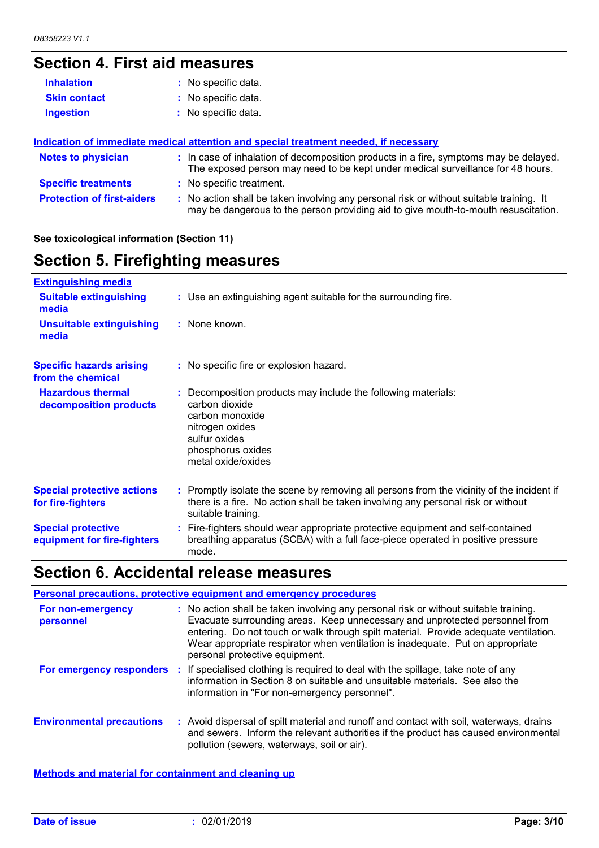# **Section 4. First aid measures**

| : No specific data.                                                                                                                                                           |
|-------------------------------------------------------------------------------------------------------------------------------------------------------------------------------|
| : No specific data.                                                                                                                                                           |
| : No specific data.                                                                                                                                                           |
|                                                                                                                                                                               |
| Indication of immediate medical attention and special treatment needed, if necessary                                                                                          |
| : In case of inhalation of decomposition products in a fire, symptoms may be delayed.<br>The exposed person may need to be kept under medical surveillance for 48 hours.      |
| : No specific treatment.                                                                                                                                                      |
| : No action shall be taken involving any personal risk or without suitable training. It<br>may be dangerous to the person providing aid to give mouth-to-mouth resuscitation. |
|                                                                                                                                                                               |

### **See toxicological information (Section 11)**

## **Section 5. Firefighting measures**

| <b>Extinguishing media</b>                               |                                                                                                                                                                                                     |
|----------------------------------------------------------|-----------------------------------------------------------------------------------------------------------------------------------------------------------------------------------------------------|
| <b>Suitable extinguishing</b><br>media                   | : Use an extinguishing agent suitable for the surrounding fire.                                                                                                                                     |
| <b>Unsuitable extinguishing</b><br>media                 | : None known.                                                                                                                                                                                       |
| <b>Specific hazards arising</b><br>from the chemical     | : No specific fire or explosion hazard.                                                                                                                                                             |
| <b>Hazardous thermal</b><br>decomposition products       | : Decomposition products may include the following materials:<br>carbon dioxide<br>carbon monoxide<br>nitrogen oxides<br>sulfur oxides<br>phosphorus oxides<br>metal oxide/oxides                   |
| <b>Special protective actions</b><br>for fire-fighters   | : Promptly isolate the scene by removing all persons from the vicinity of the incident if<br>there is a fire. No action shall be taken involving any personal risk or without<br>suitable training. |
| <b>Special protective</b><br>equipment for fire-fighters | : Fire-fighters should wear appropriate protective equipment and self-contained<br>breathing apparatus (SCBA) with a full face-piece operated in positive pressure<br>mode.                         |

## **Section 6. Accidental release measures**

| Personal precautions, protective equipment and emergency procedures |  |                                                                                                                                                                                                                                                                                                                                                                                 |  |
|---------------------------------------------------------------------|--|---------------------------------------------------------------------------------------------------------------------------------------------------------------------------------------------------------------------------------------------------------------------------------------------------------------------------------------------------------------------------------|--|
| For non-emergency<br>personnel                                      |  | : No action shall be taken involving any personal risk or without suitable training.<br>Evacuate surrounding areas. Keep unnecessary and unprotected personnel from<br>entering. Do not touch or walk through spilt material. Provide adequate ventilation.<br>Wear appropriate respirator when ventilation is inadequate. Put on appropriate<br>personal protective equipment. |  |
|                                                                     |  | For emergency responders : If specialised clothing is required to deal with the spillage, take note of any<br>information in Section 8 on suitable and unsuitable materials. See also the<br>information in "For non-emergency personnel".                                                                                                                                      |  |
| <b>Environmental precautions</b>                                    |  | : Avoid dispersal of spilt material and runoff and contact with soil, waterways, drains<br>and sewers. Inform the relevant authorities if the product has caused environmental<br>pollution (sewers, waterways, soil or air).                                                                                                                                                   |  |

**Methods and material for containment and cleaning up**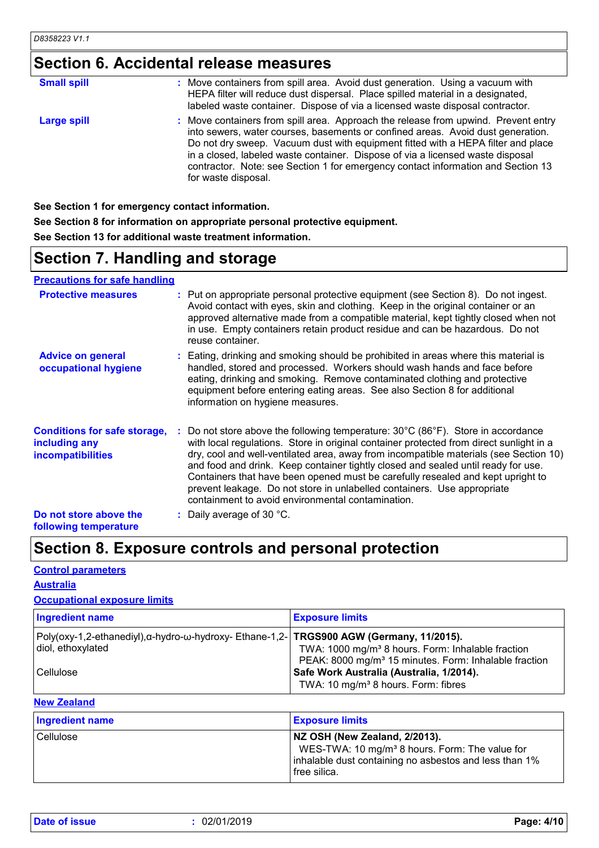## **Section 6. Accidental release measures**

| <b>Small spill</b> | : Move containers from spill area. Avoid dust generation. Using a vacuum with<br>HEPA filter will reduce dust dispersal. Place spilled material in a designated,<br>labeled waste container. Dispose of via a licensed waste disposal contractor.                                                                                                                                                                                                      |
|--------------------|--------------------------------------------------------------------------------------------------------------------------------------------------------------------------------------------------------------------------------------------------------------------------------------------------------------------------------------------------------------------------------------------------------------------------------------------------------|
| <b>Large spill</b> | : Move containers from spill area. Approach the release from upwind. Prevent entry<br>into sewers, water courses, basements or confined areas. Avoid dust generation.<br>Do not dry sweep. Vacuum dust with equipment fitted with a HEPA filter and place<br>in a closed, labeled waste container. Dispose of via a licensed waste disposal<br>contractor. Note: see Section 1 for emergency contact information and Section 13<br>for waste disposal. |

**See Section 1 for emergency contact information.**

**See Section 8 for information on appropriate personal protective equipment. See Section 13 for additional waste treatment information.**

## **Section 7. Handling and storage**

**Precautions for safe handling**

| <b>Protective measures</b>                                                       | : Put on appropriate personal protective equipment (see Section 8). Do not ingest.<br>Avoid contact with eyes, skin and clothing. Keep in the original container or an<br>approved alternative made from a compatible material, kept tightly closed when not<br>in use. Empty containers retain product residue and can be hazardous. Do not<br>reuse container.                                                                                                                                                                                                                                |
|----------------------------------------------------------------------------------|-------------------------------------------------------------------------------------------------------------------------------------------------------------------------------------------------------------------------------------------------------------------------------------------------------------------------------------------------------------------------------------------------------------------------------------------------------------------------------------------------------------------------------------------------------------------------------------------------|
| <b>Advice on general</b><br>occupational hygiene                                 | : Eating, drinking and smoking should be prohibited in areas where this material is<br>handled, stored and processed. Workers should wash hands and face before<br>eating, drinking and smoking. Remove contaminated clothing and protective<br>equipment before entering eating areas. See also Section 8 for additional<br>information on hygiene measures.                                                                                                                                                                                                                                   |
| <b>Conditions for safe storage,</b><br>including any<br><i>incompatibilities</i> | Do not store above the following temperature: $30^{\circ}$ C (86 $^{\circ}$ F). Store in accordance<br>with local regulations. Store in original container protected from direct sunlight in a<br>dry, cool and well-ventilated area, away from incompatible materials (see Section 10)<br>and food and drink. Keep container tightly closed and sealed until ready for use.<br>Containers that have been opened must be carefully resealed and kept upright to<br>prevent leakage. Do not store in unlabelled containers. Use appropriate<br>containment to avoid environmental contamination. |
| Do not store above the<br>following temperature                                  | : Daily average of 30 $^{\circ}$ C.                                                                                                                                                                                                                                                                                                                                                                                                                                                                                                                                                             |

## **Section 8. Exposure controls and personal protection**

### **Control parameters**

### **Australia**

### **Occupational exposure limits**

| <b>Ingredient name</b>                                                                                       | <b>Exposure limits</b>                                                                                                             |
|--------------------------------------------------------------------------------------------------------------|------------------------------------------------------------------------------------------------------------------------------------|
| Poly(oxy-1,2-ethanediyl),α-hydro-ω-hydroxy- Ethane-1,2- TRGS900 AGW (Germany, 11/2015).<br>diol, ethoxylated | TWA: 1000 mg/m <sup>3</sup> 8 hours. Form: Inhalable fraction<br>PEAK: 8000 mg/m <sup>3</sup> 15 minutes. Form: Inhalable fraction |
| l Cellulose                                                                                                  | Safe Work Australia (Australia, 1/2014).<br>TWA: 10 mg/m <sup>3</sup> 8 hours. Form: fibres                                        |

### **New Zealand**

| <b>Ingredient name</b> | <b>Exposure limits</b>                                                                                                                                                  |
|------------------------|-------------------------------------------------------------------------------------------------------------------------------------------------------------------------|
| Cellulose              | NZ OSH (New Zealand, 2/2013).<br>WES-TWA: 10 mg/m <sup>3</sup> 8 hours. Form: The value for<br>inhalable dust containing no asbestos and less than 1%<br>I free silica. |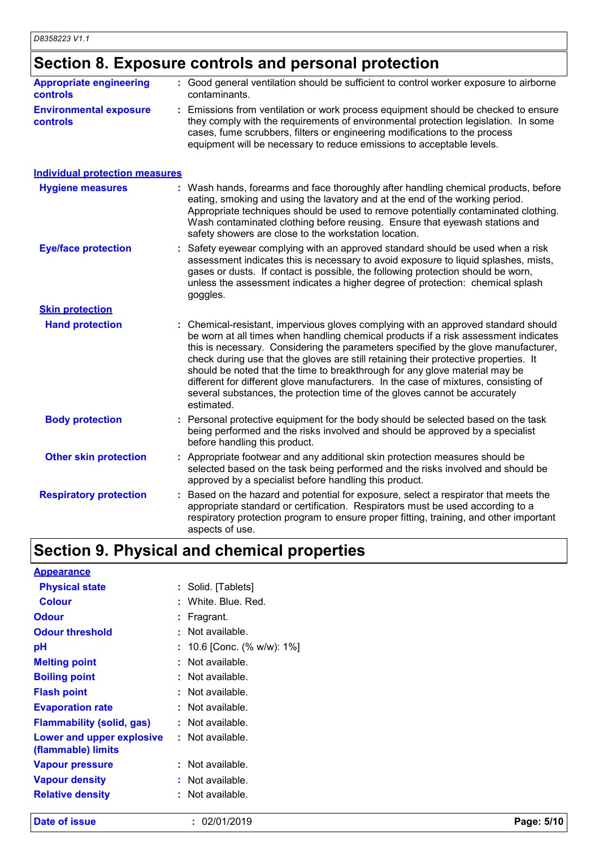## **Section 8. Exposure controls and personal protection**

| <b>Appropriate engineering</b><br><b>controls</b> | : Good general ventilation should be sufficient to control worker exposure to airborne<br>contaminants.                                                                                                                                                                                                                                                                                                                                                                                                                                                                                                                   |
|---------------------------------------------------|---------------------------------------------------------------------------------------------------------------------------------------------------------------------------------------------------------------------------------------------------------------------------------------------------------------------------------------------------------------------------------------------------------------------------------------------------------------------------------------------------------------------------------------------------------------------------------------------------------------------------|
| <b>Environmental exposure</b><br><b>controls</b>  | : Emissions from ventilation or work process equipment should be checked to ensure<br>they comply with the requirements of environmental protection legislation. In some<br>cases, fume scrubbers, filters or engineering modifications to the process<br>equipment will be necessary to reduce emissions to acceptable levels.                                                                                                                                                                                                                                                                                           |
| <b>Individual protection measures</b>             |                                                                                                                                                                                                                                                                                                                                                                                                                                                                                                                                                                                                                           |
| <b>Hygiene measures</b>                           | : Wash hands, forearms and face thoroughly after handling chemical products, before<br>eating, smoking and using the lavatory and at the end of the working period.<br>Appropriate techniques should be used to remove potentially contaminated clothing.<br>Wash contaminated clothing before reusing. Ensure that eyewash stations and<br>safety showers are close to the workstation location.                                                                                                                                                                                                                         |
| <b>Eye/face protection</b>                        | : Safety eyewear complying with an approved standard should be used when a risk<br>assessment indicates this is necessary to avoid exposure to liquid splashes, mists,<br>gases or dusts. If contact is possible, the following protection should be worn,<br>unless the assessment indicates a higher degree of protection: chemical splash<br>goggles.                                                                                                                                                                                                                                                                  |
| <b>Skin protection</b>                            |                                                                                                                                                                                                                                                                                                                                                                                                                                                                                                                                                                                                                           |
| <b>Hand protection</b>                            | : Chemical-resistant, impervious gloves complying with an approved standard should<br>be worn at all times when handling chemical products if a risk assessment indicates<br>this is necessary. Considering the parameters specified by the glove manufacturer,<br>check during use that the gloves are still retaining their protective properties. It<br>should be noted that the time to breakthrough for any glove material may be<br>different for different glove manufacturers. In the case of mixtures, consisting of<br>several substances, the protection time of the gloves cannot be accurately<br>estimated. |
| <b>Body protection</b>                            | : Personal protective equipment for the body should be selected based on the task<br>being performed and the risks involved and should be approved by a specialist<br>before handling this product.                                                                                                                                                                                                                                                                                                                                                                                                                       |
| <b>Other skin protection</b>                      | : Appropriate footwear and any additional skin protection measures should be<br>selected based on the task being performed and the risks involved and should be<br>approved by a specialist before handling this product.                                                                                                                                                                                                                                                                                                                                                                                                 |
| <b>Respiratory protection</b>                     | : Based on the hazard and potential for exposure, select a respirator that meets the<br>appropriate standard or certification. Respirators must be used according to a<br>respiratory protection program to ensure proper fitting, training, and other important<br>aspects of use.                                                                                                                                                                                                                                                                                                                                       |

# **Section 9. Physical and chemical properties**

| <b>Appearance</b>                                      |    |                          |
|--------------------------------------------------------|----|--------------------------|
| <b>Physical state</b>                                  | t. | Solid. [Tablets]         |
| <b>Colour</b>                                          |    | : White. Blue. Red.      |
| <b>Odour</b>                                           | ÷  | Fragrant.                |
| <b>Odour threshold</b>                                 | t  | Not available.           |
| рH                                                     |    | 10.6 [Conc. (% w/w): 1%] |
| <b>Melting point</b>                                   | t. | Not available.           |
| <b>Boiling point</b>                                   | t. | Not available.           |
| <b>Flash point</b>                                     | ÷. | Not available.           |
| <b>Evaporation rate</b>                                | ÷  | Not available.           |
| <b>Flammability (solid, gas)</b>                       | t. | Not available.           |
| <b>Lower and upper explosive</b><br>(flammable) limits | t. | Not available.           |
| <b>Vapour pressure</b>                                 | ÷  | Not available.           |
| <b>Vapour density</b>                                  |    | Not available.           |
| <b>Relative density</b>                                |    | Not available.           |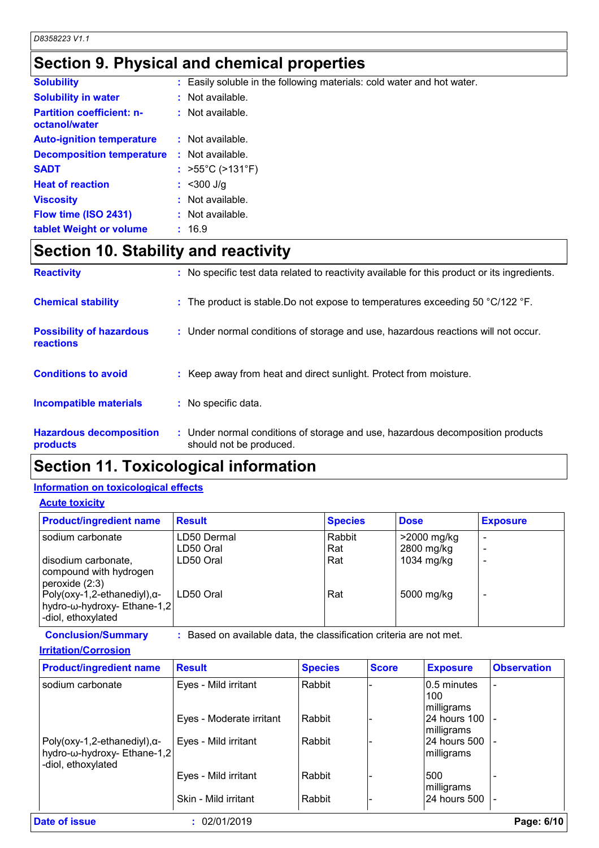## **Section 9. Physical and chemical properties**

| <b>Solubility</b>                                 |    | Easily soluble in the following materials: cold water and hot water. |
|---------------------------------------------------|----|----------------------------------------------------------------------|
| <b>Solubility in water</b>                        |    | Not available.                                                       |
| <b>Partition coefficient: n-</b><br>octanol/water |    | $:$ Not available.                                                   |
| <b>Auto-ignition temperature</b>                  |    | $:$ Not available.                                                   |
| <b>Decomposition temperature</b>                  | ÷. | Not available.                                                       |
| <b>SADT</b>                                       |    | : $>55^{\circ}$ C ( $>131^{\circ}$ F)                                |
| <b>Heat of reaction</b>                           |    | $: < 300$ J/g                                                        |
| <b>Viscosity</b>                                  |    | Not available.                                                       |
| Flow time (ISO 2431)                              |    | $:$ Not available.                                                   |
| tablet Weight or volume                           |    | : 16.9                                                               |

# **Section 10. Stability and reactivity**

| <b>Reactivity</b>                            | : No specific test data related to reactivity available for this product or its ingredients.              |
|----------------------------------------------|-----------------------------------------------------------------------------------------------------------|
| <b>Chemical stability</b>                    | : The product is stable. Do not expose to temperatures exceeding 50 °C/122 °F.                            |
| <b>Possibility of hazardous</b><br>reactions | : Under normal conditions of storage and use, hazardous reactions will not occur.                         |
| <b>Conditions to avoid</b>                   | : Keep away from heat and direct sunlight. Protect from moisture.                                         |
| <b>Incompatible materials</b>                | : No specific data.                                                                                       |
| <b>Hazardous decomposition</b><br>products   | : Under normal conditions of storage and use, hazardous decomposition products<br>should not be produced. |

## **Section 11. Toxicological information**

### **Information on toxicological effects**

### **Acute toxicity**

| <b>Product/ingredient name</b>                                                            | <b>Result</b>            | <b>Species</b> | <b>Dose</b>               | <b>Exposure</b> |
|-------------------------------------------------------------------------------------------|--------------------------|----------------|---------------------------|-----------------|
| sodium carbonate                                                                          | LD50 Dermal<br>LD50 Oral | Rabbit<br>Rat  | >2000 mg/kg<br>2800 mg/kg |                 |
| disodium carbonate,<br>compound with hydrogen<br>peroxide (2:3)                           | LD50 Oral                | Rat            | 1034 mg/kg                |                 |
| Poly(oxy-1,2-ethanediyl), $\alpha$ -<br>hydro-ω-hydroxy- Ethane-1,2<br>-diol, ethoxylated | LD50 Oral                | Rat            | 5000 mg/kg                |                 |

**Conclusion/Summary :** Based on available data, the classification criteria are not met.

### **Irritation/Corrosion**

| <b>Product/ingredient name</b>                                                            | <b>Result</b>            | <b>Species</b> | <b>Score</b> | <b>Exposure</b>                   | <b>Observation</b> |
|-------------------------------------------------------------------------------------------|--------------------------|----------------|--------------|-----------------------------------|--------------------|
| sodium carbonate                                                                          | Eyes - Mild irritant     | Rabbit         |              | 0.5 minutes<br>100<br>milligrams  |                    |
|                                                                                           | Eyes - Moderate irritant | Rabbit         |              | <b>24 hours 100</b><br>milligrams |                    |
| Poly(oxy-1,2-ethanediyl), $\alpha$ -<br>hydro-ω-hydroxy- Ethane-1,2<br>-diol, ethoxylated | Eyes - Mild irritant     | Rabbit         |              | 24 hours 500<br>milligrams        |                    |
|                                                                                           | Eyes - Mild irritant     | Rabbit         |              | 500<br>milligrams                 |                    |
|                                                                                           | Skin - Mild irritant     | Rabbit         |              | 24 hours 500                      |                    |
| <b>Date of issue</b>                                                                      | 02/01/2019               |                |              |                                   | Page: 6/10         |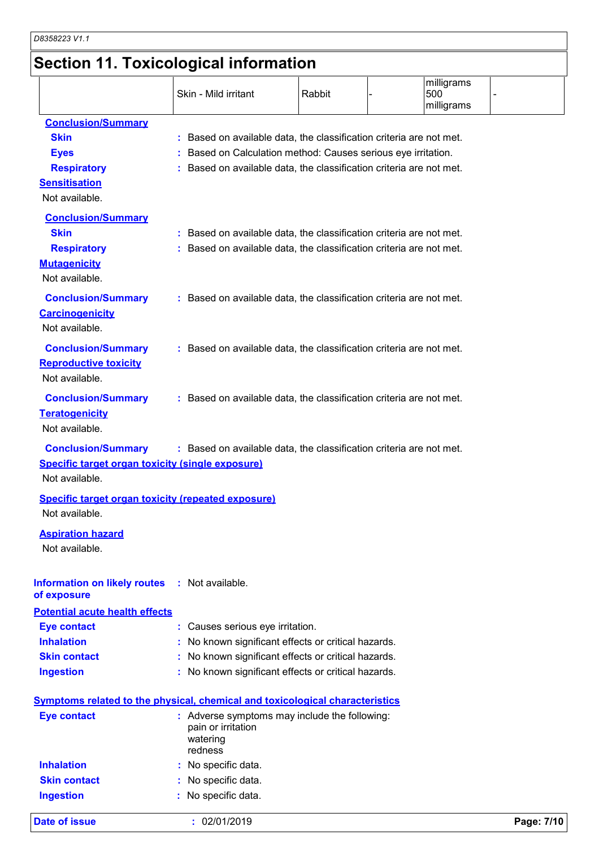# **Section 11. Toxicological information**

|                  |                                                           | Skin - Mild irritant                                                                | Rabbit | milligrams<br>500<br>milligrams |            |
|------------------|-----------------------------------------------------------|-------------------------------------------------------------------------------------|--------|---------------------------------|------------|
|                  | <b>Conclusion/Summary</b>                                 |                                                                                     |        |                                 |            |
| <b>Skin</b>      |                                                           | : Based on available data, the classification criteria are not met.                 |        |                                 |            |
| <b>Eyes</b>      |                                                           | : Based on Calculation method: Causes serious eye irritation.                       |        |                                 |            |
|                  | <b>Respiratory</b>                                        | Based on available data, the classification criteria are not met.                   |        |                                 |            |
|                  | <b>Sensitisation</b><br>Not available.                    |                                                                                     |        |                                 |            |
|                  | <b>Conclusion/Summary</b>                                 |                                                                                     |        |                                 |            |
| <b>Skin</b>      |                                                           | : Based on available data, the classification criteria are not met.                 |        |                                 |            |
|                  | <b>Respiratory</b>                                        | : Based on available data, the classification criteria are not met.                 |        |                                 |            |
|                  | <b>Mutagenicity</b>                                       |                                                                                     |        |                                 |            |
|                  | Not available.                                            |                                                                                     |        |                                 |            |
|                  | <b>Conclusion/Summary</b>                                 | : Based on available data, the classification criteria are not met.                 |        |                                 |            |
|                  | <b>Carcinogenicity</b>                                    |                                                                                     |        |                                 |            |
|                  | Not available.                                            |                                                                                     |        |                                 |            |
|                  | <b>Conclusion/Summary</b>                                 | : Based on available data, the classification criteria are not met.                 |        |                                 |            |
|                  | <b>Reproductive toxicity</b>                              |                                                                                     |        |                                 |            |
|                  | Not available.                                            |                                                                                     |        |                                 |            |
|                  | <b>Conclusion/Summary</b>                                 | : Based on available data, the classification criteria are not met.                 |        |                                 |            |
|                  | <b>Teratogenicity</b>                                     |                                                                                     |        |                                 |            |
|                  | Not available.                                            |                                                                                     |        |                                 |            |
|                  | <b>Conclusion/Summary</b>                                 | : Based on available data, the classification criteria are not met.                 |        |                                 |            |
|                  | <b>Specific target organ toxicity (single exposure)</b>   |                                                                                     |        |                                 |            |
|                  | Not available.                                            |                                                                                     |        |                                 |            |
|                  | <b>Specific target organ toxicity (repeated exposure)</b> |                                                                                     |        |                                 |            |
|                  | Not available.                                            |                                                                                     |        |                                 |            |
|                  | <b>Aspiration hazard</b>                                  |                                                                                     |        |                                 |            |
|                  | Not available.                                            |                                                                                     |        |                                 |            |
| of exposure      | <b>Information on likely routes</b>                       | : Not available.                                                                    |        |                                 |            |
|                  | <b>Potential acute health effects</b>                     |                                                                                     |        |                                 |            |
|                  | <b>Eye contact</b>                                        | : Causes serious eye irritation.                                                    |        |                                 |            |
|                  | <b>Inhalation</b>                                         | No known significant effects or critical hazards.                                   |        |                                 |            |
|                  | <b>Skin contact</b>                                       | No known significant effects or critical hazards.                                   |        |                                 |            |
| <b>Ingestion</b> |                                                           | : No known significant effects or critical hazards.                                 |        |                                 |            |
|                  |                                                           |                                                                                     |        |                                 |            |
|                  |                                                           | <b>Symptoms related to the physical, chemical and toxicological characteristics</b> |        |                                 |            |
|                  | <b>Eye contact</b>                                        | : Adverse symptoms may include the following:<br>pain or irritation                 |        |                                 |            |
|                  |                                                           | watering                                                                            |        |                                 |            |
|                  |                                                           | redness                                                                             |        |                                 |            |
|                  | <b>Inhalation</b>                                         | : No specific data.                                                                 |        |                                 |            |
|                  | <b>Skin contact</b>                                       | No specific data.                                                                   |        |                                 |            |
| <b>Ingestion</b> |                                                           | No specific data.                                                                   |        |                                 |            |
|                  | <b>Date of issue</b>                                      | : 02/01/2019                                                                        |        |                                 | Page: 7/10 |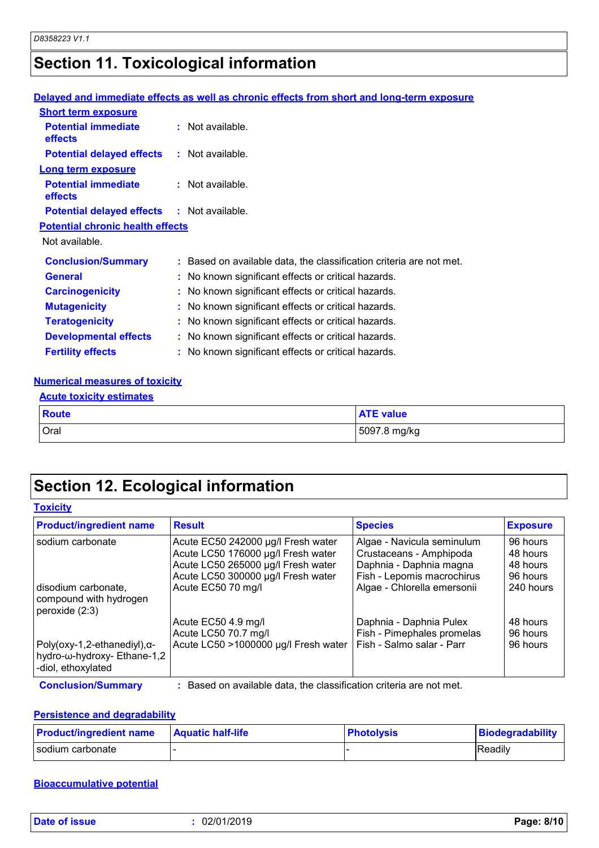# **Section 11. Toxicological information**

### **Delayed and immediate effects as well as chronic effects from short and long-term exposure**

| <b>Short term exposure</b>                        |                                                                     |
|---------------------------------------------------|---------------------------------------------------------------------|
| <b>Potential immediate</b><br><b>effects</b>      | $:$ Not available.                                                  |
| <b>Potential delayed effects</b>                  | : Not available.                                                    |
| <b>Long term exposure</b>                         |                                                                     |
| <b>Potential immediate</b><br><b>effects</b>      | $:$ Not available.                                                  |
| <b>Potential delayed effects : Not available.</b> |                                                                     |
| <b>Potential chronic health effects</b>           |                                                                     |
| Not available.                                    |                                                                     |
| <b>Conclusion/Summary</b>                         | : Based on available data, the classification criteria are not met. |
| <b>General</b>                                    | : No known significant effects or critical hazards.                 |
| <b>Carcinogenicity</b>                            | : No known significant effects or critical hazards.                 |
| <b>Mutagenicity</b>                               | : No known significant effects or critical hazards.                 |
| <b>Teratogenicity</b>                             | : No known significant effects or critical hazards.                 |
| <b>Developmental effects</b>                      | : No known significant effects or critical hazards.                 |
| <b>Fertility effects</b>                          | : No known significant effects or critical hazards.                 |

### **Numerical measures of toxicity**

| <b>Acute toxicity estimates</b> |                  |
|---------------------------------|------------------|
| Route                           | <b>ATE value</b> |
| Oral                            | 5097.8 mg/kg     |

## **Section 12. Ecological information**

| <b>Toxicity</b> |
|-----------------|
|-----------------|

| <b>Product/ingredient name</b>                                                            | <b>Result</b>                        | <b>Species</b>              | <b>Exposure</b> |
|-------------------------------------------------------------------------------------------|--------------------------------------|-----------------------------|-----------------|
| sodium carbonate                                                                          | Acute EC50 242000 µg/l Fresh water   | Algae - Navicula seminulum  | 96 hours        |
|                                                                                           | Acute LC50 176000 µg/l Fresh water   | Crustaceans - Amphipoda     | 48 hours        |
|                                                                                           | Acute LC50 265000 µg/l Fresh water   | Daphnia - Daphnia magna     | 48 hours        |
|                                                                                           | Acute LC50 300000 µg/l Fresh water   | Fish - Lepomis macrochirus  | 96 hours        |
| disodium carbonate,<br>compound with hydrogen<br>peroxide $(2:3)$                         | Acute EC50 70 mg/l                   | Algae - Chlorella emersonii | 240 hours       |
|                                                                                           | Acute EC50 4.9 mg/l                  | Daphnia - Daphnia Pulex     | 48 hours        |
|                                                                                           | Acute LC50 70.7 mg/l                 | Fish - Pimephales promelas  | 96 hours        |
| Poly(oxy-1,2-ethanediyl), $\alpha$ -<br>hydro-ω-hydroxy- Ethane-1,2<br>-diol, ethoxylated | Acute LC50 >1000000 µg/l Fresh water | Fish - Salmo salar - Parr   | 96 hours        |

**Conclusion/Summary :** Based on available data, the classification criteria are not met.

### **Persistence and degradability**

| <b>Product/ingredient name</b> | <b>Aquatic half-life</b> | <b>Photolysis</b> | Biodegradability |
|--------------------------------|--------------------------|-------------------|------------------|
| l sodium carbonate             |                          |                   | Readily          |

### **Bioaccumulative potential**

|  | Date of issue |  |
|--|---------------|--|
|  |               |  |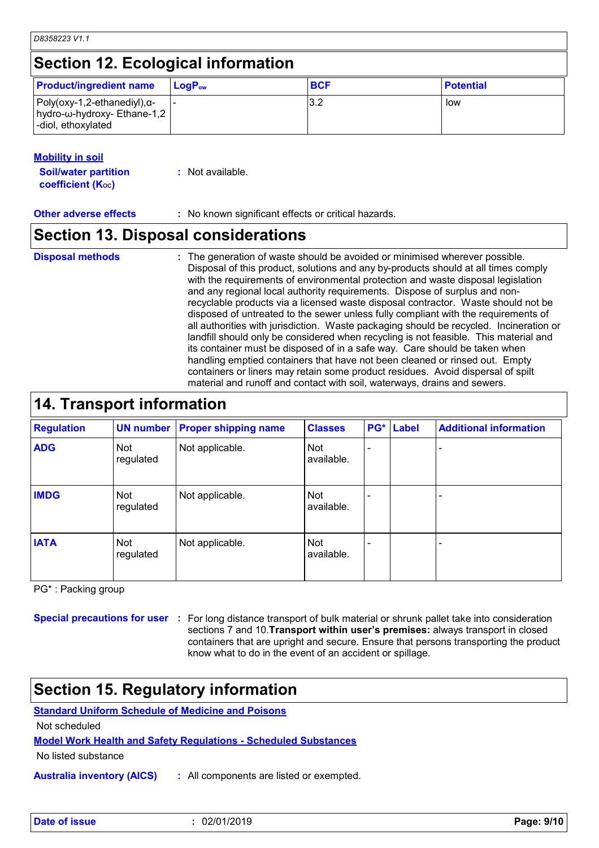### **Mobility in soil**

| <b>Soil/water partition</b> | $:$ Not available. |
|-----------------------------|--------------------|
| <b>coefficient (Koc)</b>    |                    |

**Other adverse effects** : No known significant effects or critical hazards.

### **Section 13. Disposal considerations**

#### **Disposal methods :**

The generation of waste should be avoided or minimised wherever possible. Disposal of this product, solutions and any by-products should at all times comply with the requirements of environmental protection and waste disposal legislation and any regional local authority requirements. Dispose of surplus and nonrecyclable products via a licensed waste disposal contractor. Waste should not be disposed of untreated to the sewer unless fully compliant with the requirements of all authorities with jurisdiction. Waste packaging should be recycled. Incineration or landfill should only be considered when recycling is not feasible. This material and its container must be disposed of in a safe way. Care should be taken when handling emptied containers that have not been cleaned or rinsed out. Empty containers or liners may retain some product residues. Avoid dispersal of spilt material and runoff and contact with soil, waterways, drains and sewers.

### **14. Transport information**

| <b>Regulation</b> |                  | <b>UN number Proper shipping name</b> | <b>Classes</b>    | PG* | <b>Label</b> | <b>Additional information</b> |
|-------------------|------------------|---------------------------------------|-------------------|-----|--------------|-------------------------------|
| <b>ADG</b>        | Not<br>regulated | Not applicable.                       | Not<br>available. |     |              |                               |
| <b>IMDG</b>       | Not<br>regulated | Not applicable.                       | Not<br>available. |     |              |                               |
| <b>IATA</b>       | Not<br>regulated | Not applicable.                       | Not<br>available. |     |              |                               |

PG\* : Packing group

**Special precautions for user** : For long distance transport of bulk material or shrunk pallet take into consideration sections 7 and 10.**Transport within user's premises:** always transport in closed containers that are upright and secure. Ensure that persons transporting the product know what to do in the event of an accident or spillage.

## **Section 15. Regulatory information**

**Standard Uniform Schedule of Medicine and Poisons**

Not scheduled

**Model Work Health and Safety Regulations - Scheduled Substances**

No listed substance

**Australia inventory (AICS) :** All components are listed or exempted.